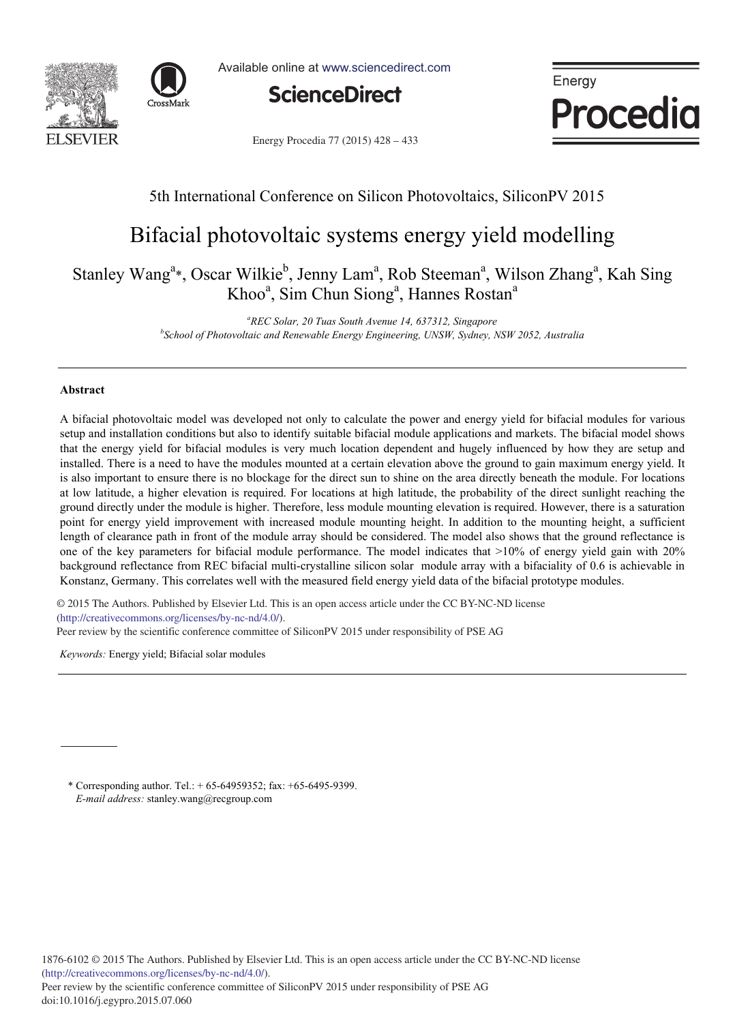



Available online at www.sciencedirect.com



Procedia

Energy

#### Energy Procedia 77 (2015) 428 - 433

### 5th International Conference on Silicon Photovoltaics, SiliconPV 2015

## Bifacial photovoltaic systems energy yield modelling

Stanley Wang<sup>a</sup>\*, Oscar Wilkie<sup>b</sup>, Jenny Lam<sup>a</sup>, Rob Steeman<sup>a</sup>, Wilson Zhang<sup>a</sup>, Kah Sing Khoo<sup>a</sup>, Sim Chun Siong<sup>a</sup>, Hannes Rostan<sup>a</sup>

> <sup>a</sup>REC Solar, 20 Tuas South Avenue 14, 637312, Singapore<sup>b</sup><br><sup>b</sup>School of Photovaltais and Penguable Fragma Engineering *HNSW*, Sydney A *School of Photovoltaic and Renewable Energy Engineering, UNSW, Sydney, NSW 2052, Australia*

#### **Abstract**

A bifacial photovoltaic model was developed not only to calculate the power and energy yield for bifacial modules for various setup and installation conditions but also to identify suitable bifacial module applications and markets. The bifacial model shows that the energy yield for bifacial modules is very much location dependent and hugely influenced by how they are setup and installed. There is a need to have the modules mounted at a certain elevation above the ground to gain maximum energy yield. It is also important to ensure there is no blockage for the direct sun to shine on the area directly beneath the module. For locations at low latitude, a higher elevation is required. For locations at high latitude, the probability of the direct sunlight reaching the ground directly under the module is higher. Therefore, less module mounting elevation is required. However, there is a saturation point for energy yield improvement with increased module mounting height. In addition to the mounting height, a sufficient length of clearance path in front of the module array should be considered. The model also shows that the ground reflectance is one of the key parameters for bifacial module performance. The model indicates that >10% of energy yield gain with 20% background reflectance from REC bifacial multi-crystalline silicon solar module array with a bifaciality of 0.6 is achievable in Konstanz, Germany. This correlates well with the measured field energy yield data of the bifacial prototype modules.

© 2015 The Authors. Published by Elsevier Ltd. (http://creativecommons.org/licenses/by-nc-nd/4.0/). experience committee of SiliconPV 2015 under responsibility of PSE AG. Peer review by the scientific conference committee of SiliconPV 2015 under responsibility of PSE AG. © 2015 The Authors. Published by Elsevier Ltd. This is an open access article under the CC BY-NC-ND license

*Keywords:* Energy yield; Bifacial solar modules

<sup>\*</sup> Corresponding author. Tel.: + 65-64959352; fax: +65-6495-9399. *E-mail address:* stanley.wang@recgroup.com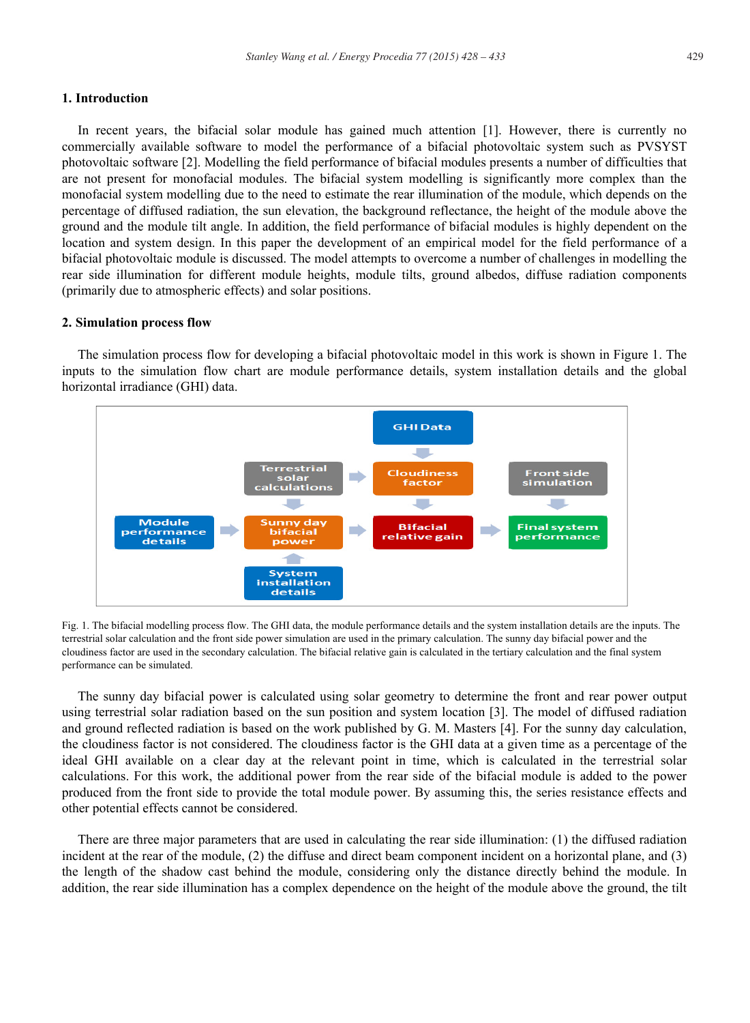#### **1. Introduction**

In recent years, the bifacial solar module has gained much attention [1]. However, there is currently no commercially available software to model the performance of a bifacial photovoltaic system such as PVSYST photovoltaic software [2]. Modelling the field performance of bifacial modules presents a number of difficulties that are not present for monofacial modules. The bifacial system modelling is significantly more complex than the monofacial system modelling due to the need to estimate the rear illumination of the module, which depends on the percentage of diffused radiation, the sun elevation, the background reflectance, the height of the module above the ground and the module tilt angle. In addition, the field performance of bifacial modules is highly dependent on the location and system design. In this paper the development of an empirical model for the field performance of a bifacial photovoltaic module is discussed. The model attempts to overcome a number of challenges in modelling the rear side illumination for different module heights, module tilts, ground albedos, diffuse radiation components (primarily due to atmospheric effects) and solar positions.

#### **2. Simulation process flow**

The simulation process flow for developing a bifacial photovoltaic model in this work is shown in Figure 1. The inputs to the simulation flow chart are module performance details, system installation details and the global horizontal irradiance (GHI) data.



Fig. 1. The bifacial modelling process flow. The GHI data, the module performance details and the system installation details are the inputs. The terrestrial solar calculation and the front side power simulation are used in the primary calculation. The sunny day bifacial power and the cloudiness factor are used in the secondary calculation. The bifacial relative gain is calculated in the tertiary calculation and the final system performance can be simulated.

The sunny day bifacial power is calculated using solar geometry to determine the front and rear power output using terrestrial solar radiation based on the sun position and system location [3]. The model of diffused radiation and ground reflected radiation is based on the work published by G. M. Masters [4]. For the sunny day calculation, the cloudiness factor is not considered. The cloudiness factor is the GHI data at a given time as a percentage of the ideal GHI available on a clear day at the relevant point in time, which is calculated in the terrestrial solar calculations. For this work, the additional power from the rear side of the bifacial module is added to the power produced from the front side to provide the total module power. By assuming this, the series resistance effects and other potential effects cannot be considered.

There are three major parameters that are used in calculating the rear side illumination: (1) the diffused radiation incident at the rear of the module, (2) the diffuse and direct beam component incident on a horizontal plane, and (3) the length of the shadow cast behind the module, considering only the distance directly behind the module. In addition, the rear side illumination has a complex dependence on the height of the module above the ground, the tilt